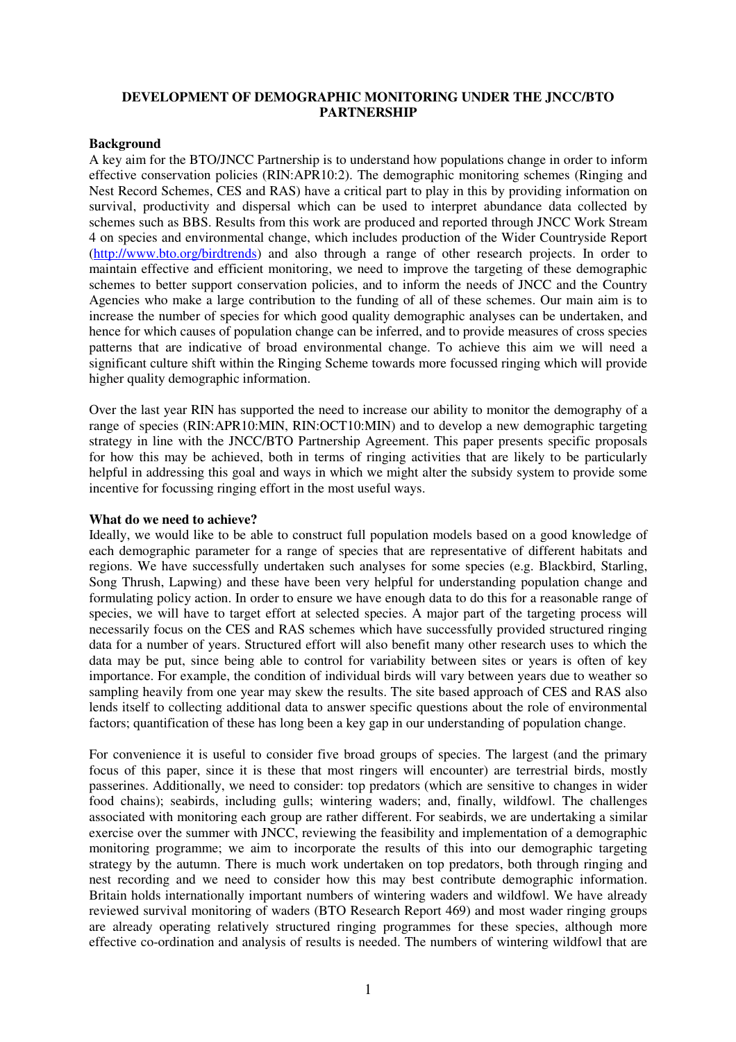#### **DEVELOPMENT OF DEMOGRAPHIC MONITORING UNDER THE JNCC/BTO PARTNERSHIP**

#### **Background**

A key aim for the BTO/JNCC Partnership is to understand how populations change in order to inform effective conservation policies (RIN:APR10:2). The demographic monitoring schemes (Ringing and Nest Record Schemes, CES and RAS) have a critical part to play in this by providing information on survival, productivity and dispersal which can be used to interpret abundance data collected by schemes such as BBS. Results from this work are produced and reported through JNCC Work Stream 4 on species and environmental change, which includes production of the Wider Countryside Report (http://www.bto.org/birdtrends) and also through a range of other research projects. In order to maintain effective and efficient monitoring, we need to improve the targeting of these demographic schemes to better support conservation policies, and to inform the needs of JNCC and the Country Agencies who make a large contribution to the funding of all of these schemes. Our main aim is to increase the number of species for which good quality demographic analyses can be undertaken, and hence for which causes of population change can be inferred, and to provide measures of cross species patterns that are indicative of broad environmental change. To achieve this aim we will need a significant culture shift within the Ringing Scheme towards more focussed ringing which will provide higher quality demographic information.

Over the last year RIN has supported the need to increase our ability to monitor the demography of a range of species (RIN:APR10:MIN, RIN:OCT10:MIN) and to develop a new demographic targeting strategy in line with the JNCC/BTO Partnership Agreement. This paper presents specific proposals for how this may be achieved, both in terms of ringing activities that are likely to be particularly helpful in addressing this goal and ways in which we might alter the subsidy system to provide some incentive for focussing ringing effort in the most useful ways.

#### **What do we need to achieve?**

Ideally, we would like to be able to construct full population models based on a good knowledge of each demographic parameter for a range of species that are representative of different habitats and regions. We have successfully undertaken such analyses for some species (e.g. Blackbird, Starling, Song Thrush, Lapwing) and these have been very helpful for understanding population change and formulating policy action. In order to ensure we have enough data to do this for a reasonable range of species, we will have to target effort at selected species. A major part of the targeting process will necessarily focus on the CES and RAS schemes which have successfully provided structured ringing data for a number of years. Structured effort will also benefit many other research uses to which the data may be put, since being able to control for variability between sites or years is often of key importance. For example, the condition of individual birds will vary between years due to weather so sampling heavily from one year may skew the results. The site based approach of CES and RAS also lends itself to collecting additional data to answer specific questions about the role of environmental factors; quantification of these has long been a key gap in our understanding of population change.

For convenience it is useful to consider five broad groups of species. The largest (and the primary focus of this paper, since it is these that most ringers will encounter) are terrestrial birds, mostly passerines. Additionally, we need to consider: top predators (which are sensitive to changes in wider food chains); seabirds, including gulls; wintering waders; and, finally, wildfowl. The challenges associated with monitoring each group are rather different. For seabirds, we are undertaking a similar exercise over the summer with JNCC, reviewing the feasibility and implementation of a demographic monitoring programme; we aim to incorporate the results of this into our demographic targeting strategy by the autumn. There is much work undertaken on top predators, both through ringing and nest recording and we need to consider how this may best contribute demographic information. Britain holds internationally important numbers of wintering waders and wildfowl. We have already reviewed survival monitoring of waders (BTO Research Report 469) and most wader ringing groups are already operating relatively structured ringing programmes for these species, although more effective co-ordination and analysis of results is needed. The numbers of wintering wildfowl that are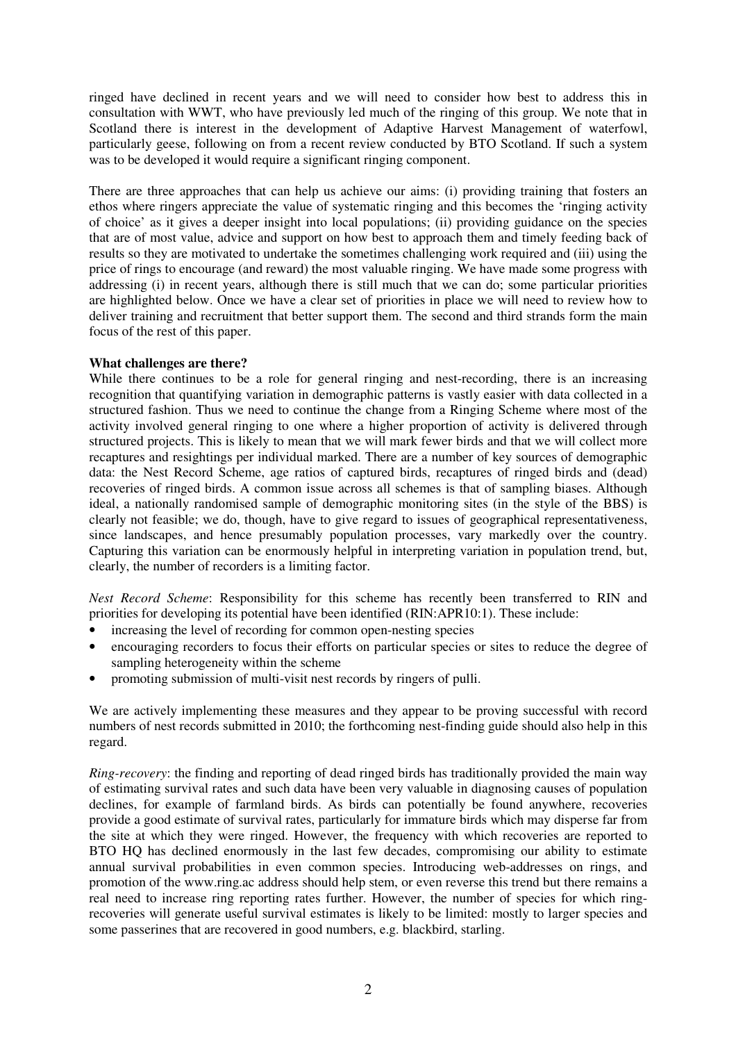ringed have declined in recent years and we will need to consider how best to address this in consultation with WWT, who have previously led much of the ringing of this group. We note that in Scotland there is interest in the development of Adaptive Harvest Management of waterfowl, particularly geese, following on from a recent review conducted by BTO Scotland. If such a system was to be developed it would require a significant ringing component.

There are three approaches that can help us achieve our aims: (i) providing training that fosters an ethos where ringers appreciate the value of systematic ringing and this becomes the 'ringing activity of choice' as it gives a deeper insight into local populations; (ii) providing guidance on the species that are of most value, advice and support on how best to approach them and timely feeding back of results so they are motivated to undertake the sometimes challenging work required and (iii) using the price of rings to encourage (and reward) the most valuable ringing. We have made some progress with addressing (i) in recent years, although there is still much that we can do; some particular priorities are highlighted below. Once we have a clear set of priorities in place we will need to review how to deliver training and recruitment that better support them. The second and third strands form the main focus of the rest of this paper.

# **What challenges are there?**

While there continues to be a role for general ringing and nest-recording, there is an increasing recognition that quantifying variation in demographic patterns is vastly easier with data collected in a structured fashion. Thus we need to continue the change from a Ringing Scheme where most of the activity involved general ringing to one where a higher proportion of activity is delivered through structured projects. This is likely to mean that we will mark fewer birds and that we will collect more recaptures and resightings per individual marked. There are a number of key sources of demographic data: the Nest Record Scheme, age ratios of captured birds, recaptures of ringed birds and (dead) recoveries of ringed birds. A common issue across all schemes is that of sampling biases. Although ideal, a nationally randomised sample of demographic monitoring sites (in the style of the BBS) is clearly not feasible; we do, though, have to give regard to issues of geographical representativeness, since landscapes, and hence presumably population processes, vary markedly over the country. Capturing this variation can be enormously helpful in interpreting variation in population trend, but, clearly, the number of recorders is a limiting factor.

*Nest Record Scheme*: Responsibility for this scheme has recently been transferred to RIN and priorities for developing its potential have been identified (RIN:APR10:1). These include:

- increasing the level of recording for common open-nesting species
- encouraging recorders to focus their efforts on particular species or sites to reduce the degree of sampling heterogeneity within the scheme
- promoting submission of multi-visit nest records by ringers of pulli.

We are actively implementing these measures and they appear to be proving successful with record numbers of nest records submitted in 2010; the forthcoming nest-finding guide should also help in this regard.

*Ring-recovery*: the finding and reporting of dead ringed birds has traditionally provided the main way of estimating survival rates and such data have been very valuable in diagnosing causes of population declines, for example of farmland birds. As birds can potentially be found anywhere, recoveries provide a good estimate of survival rates, particularly for immature birds which may disperse far from the site at which they were ringed. However, the frequency with which recoveries are reported to BTO HQ has declined enormously in the last few decades, compromising our ability to estimate annual survival probabilities in even common species. Introducing web-addresses on rings, and promotion of the www.ring.ac address should help stem, or even reverse this trend but there remains a real need to increase ring reporting rates further. However, the number of species for which ringrecoveries will generate useful survival estimates is likely to be limited: mostly to larger species and some passerines that are recovered in good numbers, e.g. blackbird, starling.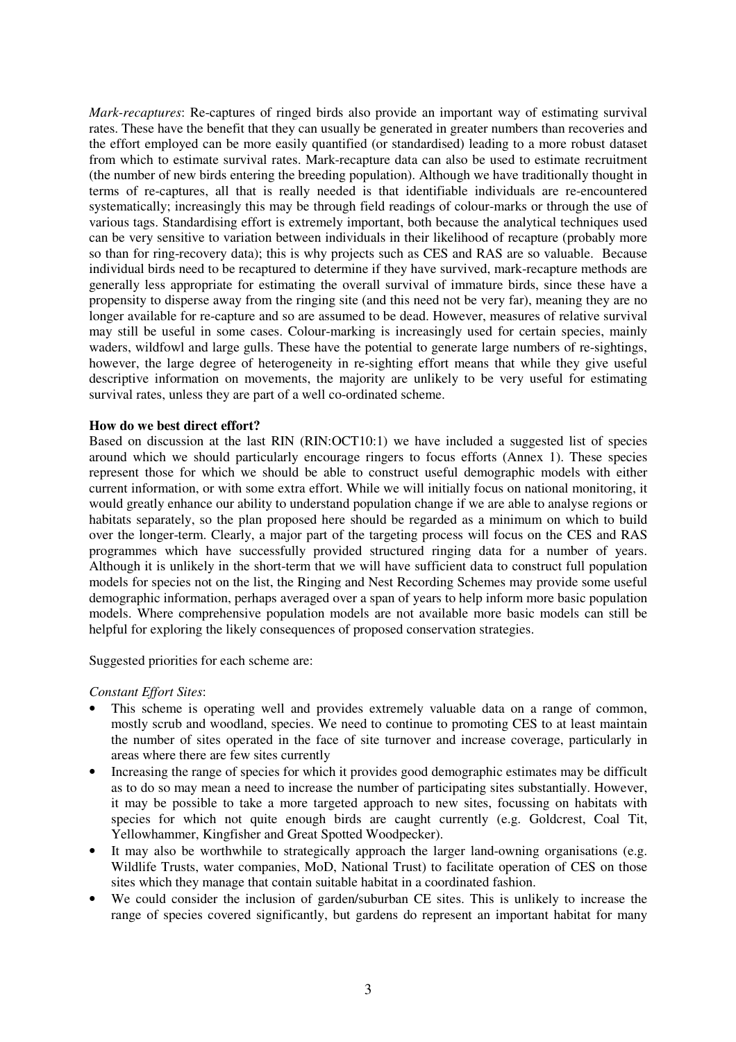*Mark-recaptures*: Re-captures of ringed birds also provide an important way of estimating survival rates. These have the benefit that they can usually be generated in greater numbers than recoveries and the effort employed can be more easily quantified (or standardised) leading to a more robust dataset from which to estimate survival rates. Mark-recapture data can also be used to estimate recruitment (the number of new birds entering the breeding population). Although we have traditionally thought in terms of re-captures, all that is really needed is that identifiable individuals are re-encountered systematically; increasingly this may be through field readings of colour-marks or through the use of various tags. Standardising effort is extremely important, both because the analytical techniques used can be very sensitive to variation between individuals in their likelihood of recapture (probably more so than for ring-recovery data); this is why projects such as CES and RAS are so valuable. Because individual birds need to be recaptured to determine if they have survived, mark-recapture methods are generally less appropriate for estimating the overall survival of immature birds, since these have a propensity to disperse away from the ringing site (and this need not be very far), meaning they are no longer available for re-capture and so are assumed to be dead. However, measures of relative survival may still be useful in some cases. Colour-marking is increasingly used for certain species, mainly waders, wildfowl and large gulls. These have the potential to generate large numbers of re-sightings, however, the large degree of heterogeneity in re-sighting effort means that while they give useful descriptive information on movements, the majority are unlikely to be very useful for estimating survival rates, unless they are part of a well co-ordinated scheme.

#### **How do we best direct effort?**

Based on discussion at the last RIN (RIN:OCT10:1) we have included a suggested list of species around which we should particularly encourage ringers to focus efforts (Annex 1). These species represent those for which we should be able to construct useful demographic models with either current information, or with some extra effort. While we will initially focus on national monitoring, it would greatly enhance our ability to understand population change if we are able to analyse regions or habitats separately, so the plan proposed here should be regarded as a minimum on which to build over the longer-term. Clearly, a major part of the targeting process will focus on the CES and RAS programmes which have successfully provided structured ringing data for a number of years. Although it is unlikely in the short-term that we will have sufficient data to construct full population models for species not on the list, the Ringing and Nest Recording Schemes may provide some useful demographic information, perhaps averaged over a span of years to help inform more basic population models. Where comprehensive population models are not available more basic models can still be helpful for exploring the likely consequences of proposed conservation strategies.

Suggested priorities for each scheme are:

# *Constant Effort Sites*:

- This scheme is operating well and provides extremely valuable data on a range of common, mostly scrub and woodland, species. We need to continue to promoting CES to at least maintain the number of sites operated in the face of site turnover and increase coverage, particularly in areas where there are few sites currently
- Increasing the range of species for which it provides good demographic estimates may be difficult as to do so may mean a need to increase the number of participating sites substantially. However, it may be possible to take a more targeted approach to new sites, focussing on habitats with species for which not quite enough birds are caught currently (e.g. Goldcrest, Coal Tit, Yellowhammer, Kingfisher and Great Spotted Woodpecker).
- It may also be worthwhile to strategically approach the larger land-owning organisations (e.g. Wildlife Trusts, water companies, MoD, National Trust) to facilitate operation of CES on those sites which they manage that contain suitable habitat in a coordinated fashion.
- We could consider the inclusion of garden/suburban CE sites. This is unlikely to increase the range of species covered significantly, but gardens do represent an important habitat for many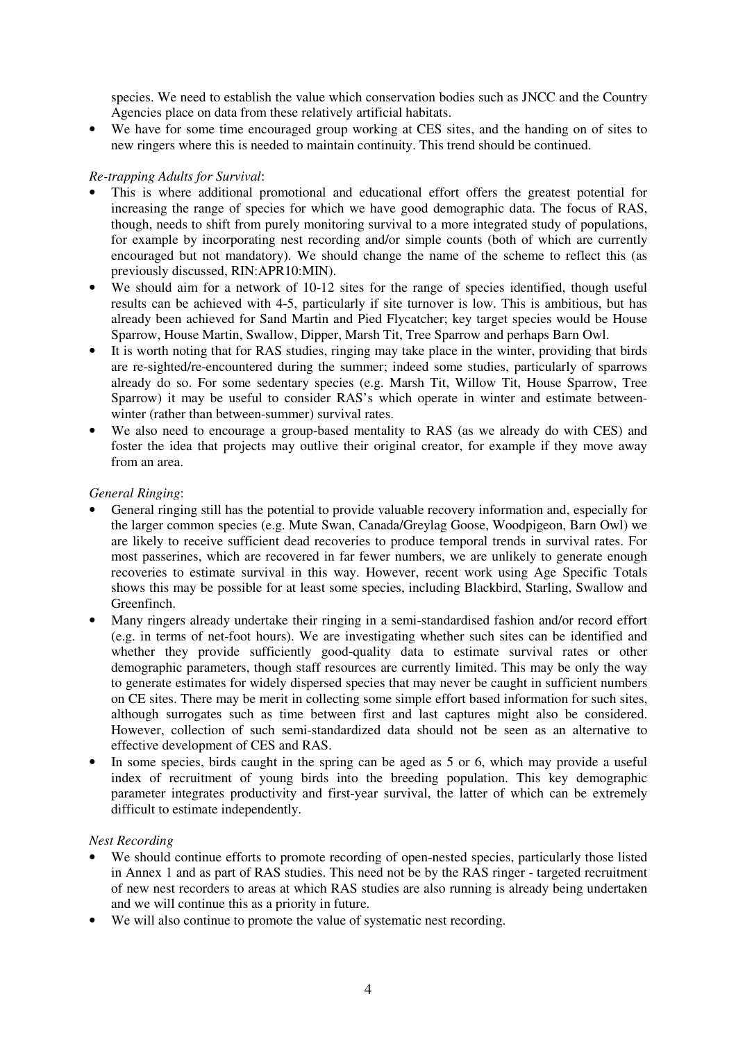species. We need to establish the value which conservation bodies such as JNCC and the Country Agencies place on data from these relatively artificial habitats.

• We have for some time encouraged group working at CES sites, and the handing on of sites to new ringers where this is needed to maintain continuity. This trend should be continued.

# *Re-trapping Adults for Survival*:

- This is where additional promotional and educational effort offers the greatest potential for increasing the range of species for which we have good demographic data. The focus of RAS, though, needs to shift from purely monitoring survival to a more integrated study of populations, for example by incorporating nest recording and/or simple counts (both of which are currently encouraged but not mandatory). We should change the name of the scheme to reflect this (as previously discussed, RIN:APR10:MIN).
- We should aim for a network of 10-12 sites for the range of species identified, though useful results can be achieved with 4-5, particularly if site turnover is low. This is ambitious, but has already been achieved for Sand Martin and Pied Flycatcher; key target species would be House Sparrow, House Martin, Swallow, Dipper, Marsh Tit, Tree Sparrow and perhaps Barn Owl.
- It is worth noting that for RAS studies, ringing may take place in the winter, providing that birds are re-sighted/re-encountered during the summer; indeed some studies, particularly of sparrows already do so. For some sedentary species (e.g. Marsh Tit, Willow Tit, House Sparrow, Tree Sparrow) it may be useful to consider RAS's which operate in winter and estimate betweenwinter (rather than between-summer) survival rates.
- We also need to encourage a group-based mentality to RAS (as we already do with CES) and foster the idea that projects may outlive their original creator, for example if they move away from an area.

# *General Ringing*:

- General ringing still has the potential to provide valuable recovery information and, especially for the larger common species (e.g. Mute Swan, Canada/Greylag Goose, Woodpigeon, Barn Owl) we are likely to receive sufficient dead recoveries to produce temporal trends in survival rates. For most passerines, which are recovered in far fewer numbers, we are unlikely to generate enough recoveries to estimate survival in this way. However, recent work using Age Specific Totals shows this may be possible for at least some species, including Blackbird, Starling, Swallow and Greenfinch.
- Many ringers already undertake their ringing in a semi-standardised fashion and/or record effort (e.g. in terms of net-foot hours). We are investigating whether such sites can be identified and whether they provide sufficiently good-quality data to estimate survival rates or other demographic parameters, though staff resources are currently limited. This may be only the way to generate estimates for widely dispersed species that may never be caught in sufficient numbers on CE sites. There may be merit in collecting some simple effort based information for such sites, although surrogates such as time between first and last captures might also be considered. However, collection of such semi-standardized data should not be seen as an alternative to effective development of CES and RAS.
- In some species, birds caught in the spring can be aged as 5 or 6, which may provide a useful index of recruitment of young birds into the breeding population. This key demographic parameter integrates productivity and first-year survival, the latter of which can be extremely difficult to estimate independently.

# *Nest Recording*

- We should continue efforts to promote recording of open-nested species, particularly those listed in Annex 1 and as part of RAS studies. This need not be by the RAS ringer - targeted recruitment of new nest recorders to areas at which RAS studies are also running is already being undertaken and we will continue this as a priority in future.
- We will also continue to promote the value of systematic nest recording.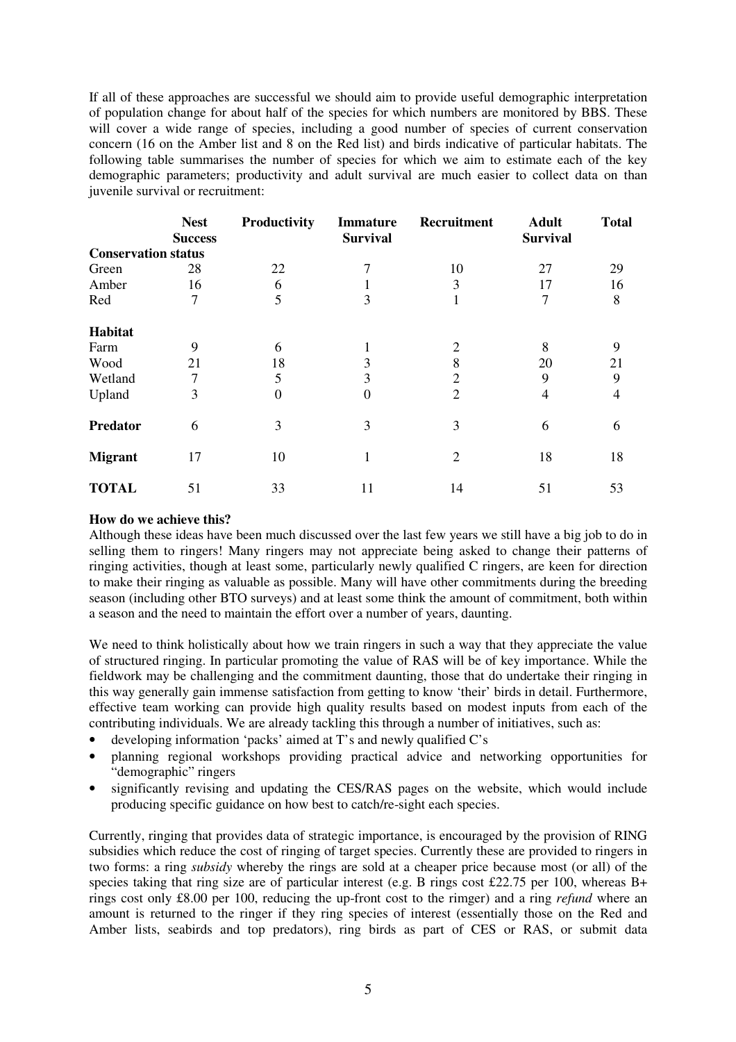If all of these approaches are successful we should aim to provide useful demographic interpretation of population change for about half of the species for which numbers are monitored by BBS. These will cover a wide range of species, including a good number of species of current conservation concern (16 on the Amber list and 8 on the Red list) and birds indicative of particular habitats. The following table summarises the number of species for which we aim to estimate each of the key demographic parameters; productivity and adult survival are much easier to collect data on than juvenile survival or recruitment:

|                            | <b>Nest</b>    | Productivity | <b>Immature</b> | Recruitment    | <b>Adult</b>    | <b>Total</b> |
|----------------------------|----------------|--------------|-----------------|----------------|-----------------|--------------|
|                            | <b>Success</b> |              | <b>Survival</b> |                | <b>Survival</b> |              |
| <b>Conservation status</b> |                |              |                 |                |                 |              |
| Green                      | 28             | 22           |                 | 10             | 27              | 29           |
| Amber                      | 16             | 6            |                 | 3              | 17              | 16           |
| Red                        | 7              | 5            | 3               |                | 7               | 8            |
| Habitat                    |                |              |                 |                |                 |              |
| Farm                       | 9              | 6            |                 | 2              | 8               | 9            |
| Wood                       | 21             | 18           | 3               | 8              | 20              | 21           |
| Wetland                    | 7              | 5            | 3               | $\overline{2}$ | 9               | 9            |
| Upland                     | 3              | $\theta$     | 0               | $\overline{2}$ | 4               | 4            |
| Predator                   | 6              | 3            | 3               | 3              | 6               | 6            |
| <b>Migrant</b>             | 17             | 10           | 1               | $\overline{2}$ | 18              | 18           |
| <b>TOTAL</b>               | 51             | 33           | 11              | 14             | 51              | 53           |

#### **How do we achieve this?**

Although these ideas have been much discussed over the last few years we still have a big job to do in selling them to ringers! Many ringers may not appreciate being asked to change their patterns of ringing activities, though at least some, particularly newly qualified C ringers, are keen for direction to make their ringing as valuable as possible. Many will have other commitments during the breeding season (including other BTO surveys) and at least some think the amount of commitment, both within a season and the need to maintain the effort over a number of years, daunting.

We need to think holistically about how we train ringers in such a way that they appreciate the value of structured ringing. In particular promoting the value of RAS will be of key importance. While the fieldwork may be challenging and the commitment daunting, those that do undertake their ringing in this way generally gain immense satisfaction from getting to know 'their' birds in detail. Furthermore, effective team working can provide high quality results based on modest inputs from each of the contributing individuals. We are already tackling this through a number of initiatives, such as:

- developing information 'packs' aimed at  $T$ 's and newly qualified  $C$ 's
- planning regional workshops providing practical advice and networking opportunities for "demographic" ringers
- significantly revising and updating the CES/RAS pages on the website, which would include producing specific guidance on how best to catch/re-sight each species.

Currently, ringing that provides data of strategic importance, is encouraged by the provision of RING subsidies which reduce the cost of ringing of target species. Currently these are provided to ringers in two forms: a ring *subsidy* whereby the rings are sold at a cheaper price because most (or all) of the species taking that ring size are of particular interest (e.g. B rings cost £22.75 per 100, whereas B+ rings cost only £8.00 per 100, reducing the up-front cost to the rimger) and a ring *refund* where an amount is returned to the ringer if they ring species of interest (essentially those on the Red and Amber lists, seabirds and top predators), ring birds as part of CES or RAS, or submit data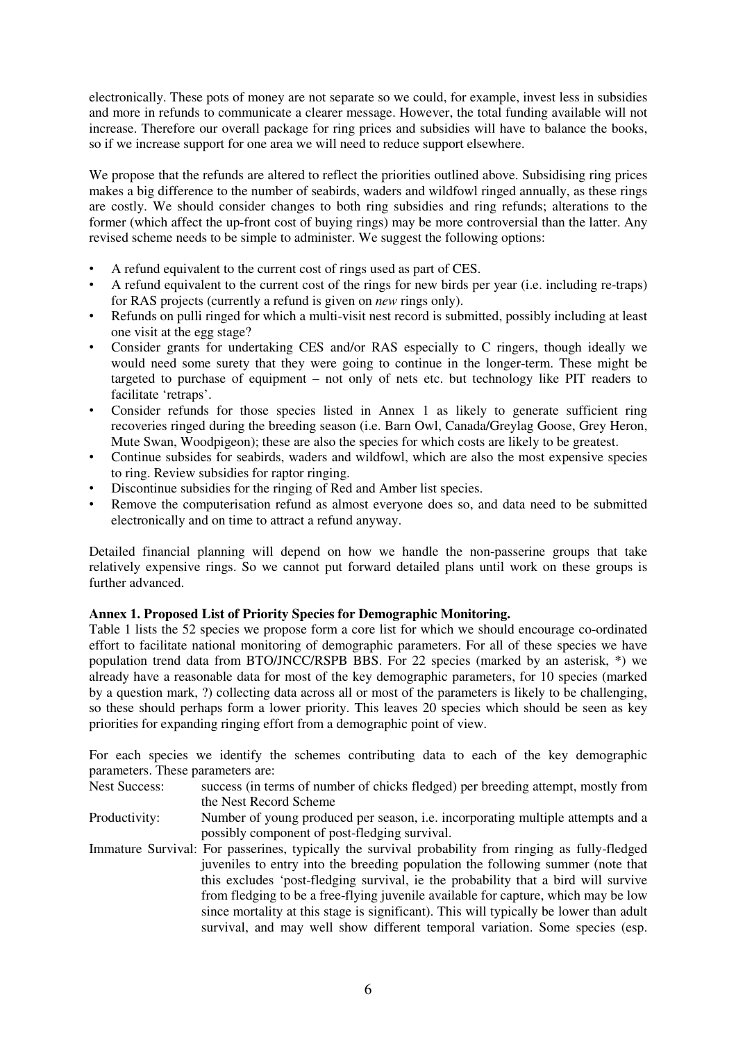electronically. These pots of money are not separate so we could, for example, invest less in subsidies and more in refunds to communicate a clearer message. However, the total funding available will not increase. Therefore our overall package for ring prices and subsidies will have to balance the books, so if we increase support for one area we will need to reduce support elsewhere.

We propose that the refunds are altered to reflect the priorities outlined above. Subsidising ring prices makes a big difference to the number of seabirds, waders and wildfowl ringed annually, as these rings are costly. We should consider changes to both ring subsidies and ring refunds; alterations to the former (which affect the up-front cost of buying rings) may be more controversial than the latter. Any revised scheme needs to be simple to administer. We suggest the following options:

- A refund equivalent to the current cost of rings used as part of CES.
- A refund equivalent to the current cost of the rings for new birds per year (i.e. including re-traps) for RAS projects (currently a refund is given on *new* rings only).
- Refunds on pulli ringed for which a multi-visit nest record is submitted, possibly including at least one visit at the egg stage?
- Consider grants for undertaking CES and/or RAS especially to C ringers, though ideally we would need some surety that they were going to continue in the longer-term. These might be targeted to purchase of equipment – not only of nets etc. but technology like PIT readers to facilitate 'retraps'.
- Consider refunds for those species listed in Annex 1 as likely to generate sufficient ring recoveries ringed during the breeding season (i.e. Barn Owl, Canada/Greylag Goose, Grey Heron, Mute Swan, Woodpigeon); these are also the species for which costs are likely to be greatest.
- Continue subsides for seabirds, waders and wildfowl, which are also the most expensive species to ring. Review subsidies for raptor ringing.
- Discontinue subsidies for the ringing of Red and Amber list species.
- Remove the computerisation refund as almost everyone does so, and data need to be submitted electronically and on time to attract a refund anyway.

Detailed financial planning will depend on how we handle the non-passerine groups that take relatively expensive rings. So we cannot put forward detailed plans until work on these groups is further advanced.

# **Annex 1. Proposed List of Priority Species for Demographic Monitoring.**

Table 1 lists the 52 species we propose form a core list for which we should encourage co-ordinated effort to facilitate national monitoring of demographic parameters. For all of these species we have population trend data from BTO/JNCC/RSPB BBS. For 22 species (marked by an asterisk, \*) we already have a reasonable data for most of the key demographic parameters, for 10 species (marked by a question mark, ?) collecting data across all or most of the parameters is likely to be challenging, so these should perhaps form a lower priority. This leaves 20 species which should be seen as key priorities for expanding ringing effort from a demographic point of view.

For each species we identify the schemes contributing data to each of the key demographic parameters. These parameters are:

Nest Success: success (in terms of number of chicks fledged) per breeding attempt, mostly from the Nest Record Scheme

- Productivity: Number of young produced per season, i.e. incorporating multiple attempts and a possibly component of post-fledging survival.
- Immature Survival: For passerines, typically the survival probability from ringing as fully-fledged juveniles to entry into the breeding population the following summer (note that this excludes 'post-fledging survival, ie the probability that a bird will survive from fledging to be a free-flying juvenile available for capture, which may be low since mortality at this stage is significant). This will typically be lower than adult survival, and may well show different temporal variation. Some species (esp.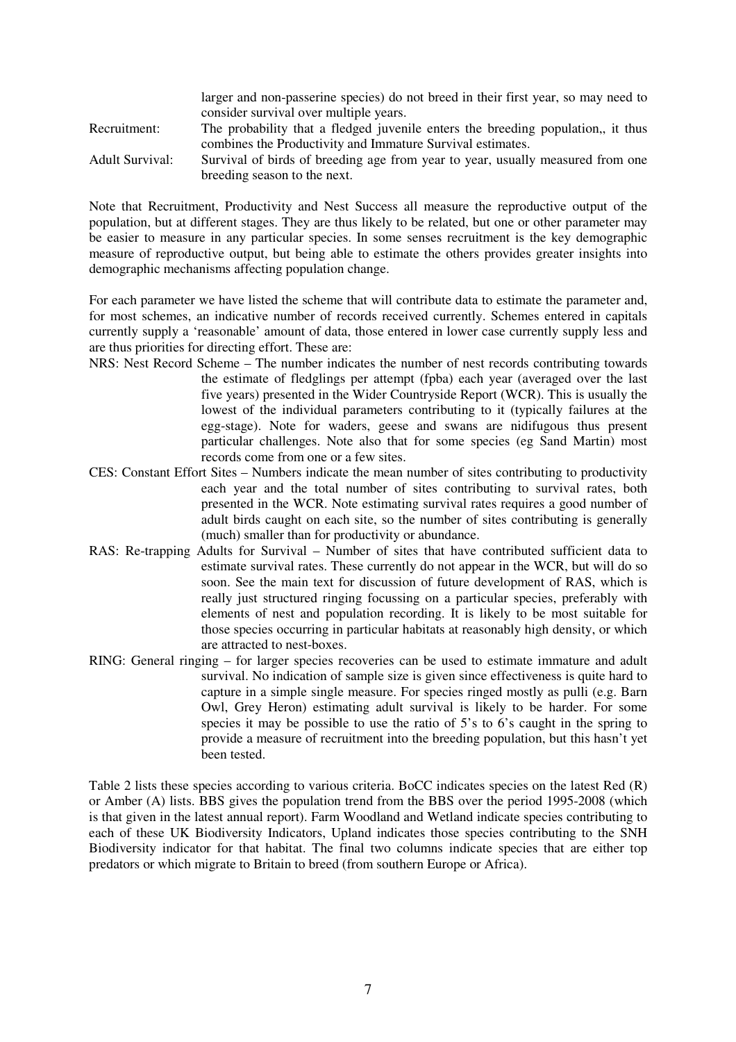|                 | larger and non-passerine species) do not breed in their first year, so may need to |
|-----------------|------------------------------------------------------------------------------------|
|                 | consider survival over multiple years.                                             |
| Recruitment:    | The probability that a fledged juvenile enters the breeding population, it thus    |
|                 | combines the Productivity and Immature Survival estimates.                         |
| Adult Survival: | Survival of birds of breeding age from year to year, usually measured from one     |
|                 | breeding season to the next.                                                       |

Note that Recruitment, Productivity and Nest Success all measure the reproductive output of the population, but at different stages. They are thus likely to be related, but one or other parameter may be easier to measure in any particular species. In some senses recruitment is the key demographic measure of reproductive output, but being able to estimate the others provides greater insights into demographic mechanisms affecting population change.

For each parameter we have listed the scheme that will contribute data to estimate the parameter and, for most schemes, an indicative number of records received currently. Schemes entered in capitals currently supply a 'reasonable' amount of data, those entered in lower case currently supply less and are thus priorities for directing effort. These are:

- NRS: Nest Record Scheme The number indicates the number of nest records contributing towards the estimate of fledglings per attempt (fpba) each year (averaged over the last five years) presented in the Wider Countryside Report (WCR). This is usually the lowest of the individual parameters contributing to it (typically failures at the egg-stage). Note for waders, geese and swans are nidifugous thus present particular challenges. Note also that for some species (eg Sand Martin) most records come from one or a few sites.
- CES: Constant Effort Sites Numbers indicate the mean number of sites contributing to productivity each year and the total number of sites contributing to survival rates, both presented in the WCR. Note estimating survival rates requires a good number of adult birds caught on each site, so the number of sites contributing is generally (much) smaller than for productivity or abundance.
- RAS: Re-trapping Adults for Survival Number of sites that have contributed sufficient data to estimate survival rates. These currently do not appear in the WCR, but will do so soon. See the main text for discussion of future development of RAS, which is really just structured ringing focussing on a particular species, preferably with elements of nest and population recording. It is likely to be most suitable for those species occurring in particular habitats at reasonably high density, or which are attracted to nest-boxes.
- RING: General ringing for larger species recoveries can be used to estimate immature and adult survival. No indication of sample size is given since effectiveness is quite hard to capture in a simple single measure. For species ringed mostly as pulli (e.g. Barn Owl, Grey Heron) estimating adult survival is likely to be harder. For some species it may be possible to use the ratio of 5's to 6's caught in the spring to provide a measure of recruitment into the breeding population, but this hasn't yet been tested.

Table 2 lists these species according to various criteria. BoCC indicates species on the latest Red (R) or Amber (A) lists. BBS gives the population trend from the BBS over the period 1995-2008 (which is that given in the latest annual report). Farm Woodland and Wetland indicate species contributing to each of these UK Biodiversity Indicators, Upland indicates those species contributing to the SNH Biodiversity indicator for that habitat. The final two columns indicate species that are either top predators or which migrate to Britain to breed (from southern Europe or Africa).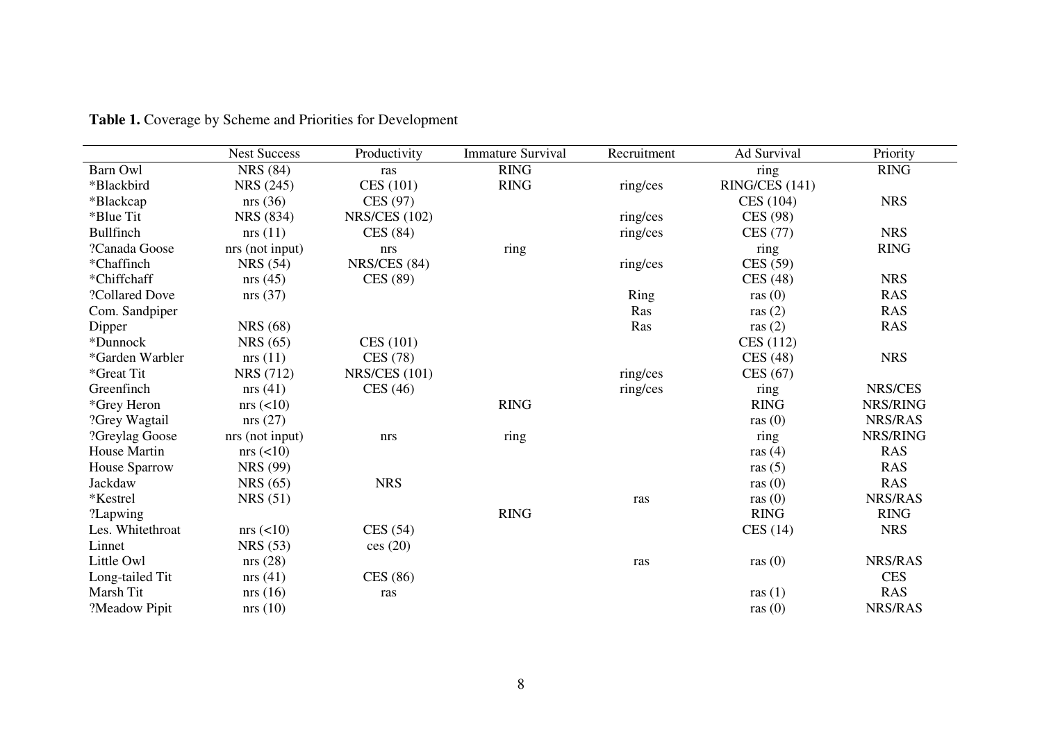|                  | <b>Nest Success</b> | Productivity         | <b>Immature Survival</b> | Recruitment | Ad Survival    | Priority       |
|------------------|---------------------|----------------------|--------------------------|-------------|----------------|----------------|
| Barn Owl         | <b>NRS</b> (84)     | ras                  | <b>RING</b>              |             | ring           | <b>RING</b>    |
| *Blackbird       | <b>NRS</b> (245)    | CES (101)            | <b>RING</b>              | ring/ces    | RING/CES (141) |                |
| *Blackcap        | nrs(36)             | CES (97)             |                          |             | CES (104)      | <b>NRS</b>     |
| *Blue Tit        | NRS (834)           | <b>NRS/CES (102)</b> |                          | ring/ces    | CES (98)       |                |
| Bullfinch        | nrs(11)             | CES(84)              |                          | ring/ces    | CES (77)       | <b>NRS</b>     |
| ?Canada Goose    | nrs (not input)     | nrs                  | ring                     |             | ring           | <b>RING</b>    |
| *Chaffinch       | <b>NRS</b> (54)     | <b>NRS/CES (84)</b>  |                          | ring/ces    | CES (59)       |                |
| *Chiffchaff      | nrs(45)             | CES (89)             |                          |             | CES(48)        | <b>NRS</b>     |
| ?Collared Dove   | nrs(37)             |                      |                          | Ring        | ras $(0)$      | <b>RAS</b>     |
| Com. Sandpiper   |                     |                      |                          | Ras         | ras $(2)$      | <b>RAS</b>     |
| Dipper           | <b>NRS</b> (68)     |                      |                          | Ras         | ras $(2)$      | <b>RAS</b>     |
| *Dunnock         | <b>NRS</b> (65)     | CES (101)            |                          |             | CES (112)      |                |
| *Garden Warbler  | nrs(11)             | CES (78)             |                          |             | CES(48)        | <b>NRS</b>     |
| *Great Tit       | <b>NRS</b> (712)    | <b>NRS/CES (101)</b> |                          | ring/ces    | CES $(67)$     |                |
| Greenfinch       | nrs(41)             | CES $(46)$           |                          | ring/ces    | ring           | NRS/CES        |
| *Grey Heron      | $nrs \leqslant 10$  |                      | <b>RING</b>              |             | <b>RING</b>    | NRS/RING       |
| ?Grey Wagtail    | nrs(27)             |                      |                          |             | ras $(0)$      | NRS/RAS        |
| ?Greylag Goose   | nrs (not input)     | nrs                  | ring                     |             | ring           | NRS/RING       |
| House Martin     | $nrs \leqslant 10$  |                      |                          |             | ras $(4)$      | <b>RAS</b>     |
| House Sparrow    | <b>NRS</b> (99)     |                      |                          |             | ras $(5)$      | <b>RAS</b>     |
| Jackdaw          | <b>NRS</b> (65)     | <b>NRS</b>           |                          |             | ras $(0)$      | <b>RAS</b>     |
| *Kestrel         | <b>NRS</b> (51)     |                      |                          | ras         | ras $(0)$      | NRS/RAS        |
| ?Lapwing         |                     |                      | <b>RING</b>              |             | <b>RING</b>    | <b>RING</b>    |
| Les. Whitethroat | $nrs \leqslant 10$  | CES(54)              |                          |             | CES(14)        | <b>NRS</b>     |
| Linnet           | <b>NRS</b> (53)     | ces(20)              |                          |             |                |                |
| Little Owl       | nrs(28)             |                      |                          | ras         | ras $(0)$      | <b>NRS/RAS</b> |
| Long-tailed Tit  | nrs(41)             | CES (86)             |                          |             |                | <b>CES</b>     |
| Marsh Tit        | nrs(16)             | ras                  |                          |             | ras $(1)$      | <b>RAS</b>     |
| ?Meadow Pipit    | nrs(10)             |                      |                          |             | ras $(0)$      | NRS/RAS        |

**Table 1.** Coverage by Scheme and Priorities for Development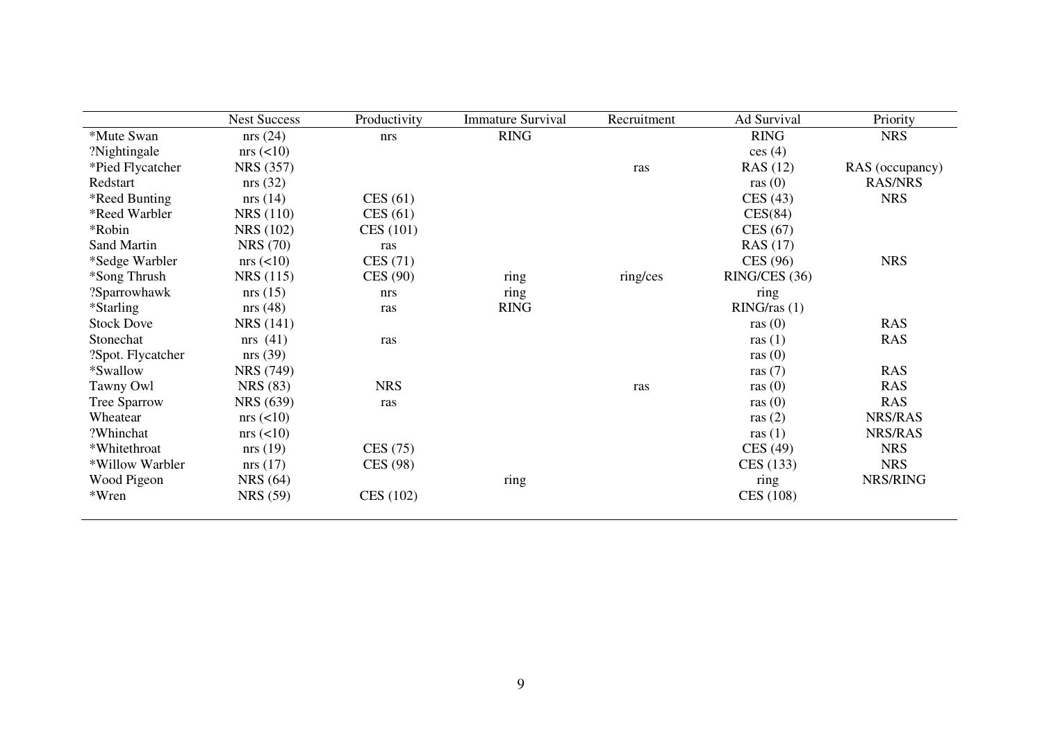|                     | <b>Nest Success</b> | Productivity | <b>Immature Survival</b> | Recruitment | Ad Survival     | Priority        |
|---------------------|---------------------|--------------|--------------------------|-------------|-----------------|-----------------|
| *Mute Swan          | nrs(24)             | nrs          | <b>RING</b>              |             | <b>RING</b>     | <b>NRS</b>      |
| ?Nightingale        | $nrs \approx (210)$ |              |                          |             | ces(4)          |                 |
| *Pied Flycatcher    | <b>NRS</b> (357)    |              |                          | ras         | RAS (12)        | RAS (occupancy) |
| Redstart            | nrs(32)             |              |                          |             | ras $(0)$       | <b>RAS/NRS</b>  |
| *Reed Bunting       | nrs(14)             | CES(61)      |                          |             | CES(43)         | <b>NRS</b>      |
| *Reed Warbler       | <b>NRS</b> (110)    | CES(61)      |                          |             | CES(84)         |                 |
| *Robin              | <b>NRS</b> (102)    | CES (101)    |                          |             | CES(67)         |                 |
| Sand Martin         | <b>NRS</b> (70)     | ras          |                          |             | <b>RAS</b> (17) |                 |
| *Sedge Warbler      | $nrs \leqslant 10$  | CES(71)      |                          |             | CES (96)        | <b>NRS</b>      |
| *Song Thrush        | NRS (115)           | CES (90)     | ring                     | ring/ces    | RING/CES (36)   |                 |
| ?Sparrowhawk        | nrs(15)             | nrs          | ring                     |             | ring            |                 |
| *Starling           | nrs(48)             | ras          | <b>RING</b>              |             | RING/ras(1)     |                 |
| <b>Stock Dove</b>   | NRS (141)           |              |                          |             | ras $(0)$       | <b>RAS</b>      |
| Stonechat           | nrs $(41)$          | ras          |                          |             | ras $(1)$       | <b>RAS</b>      |
| ?Spot. Flycatcher   | nrs(39)             |              |                          |             | ras $(0)$       |                 |
| *Swallow            | <b>NRS</b> (749)    |              |                          |             | ras $(7)$       | <b>RAS</b>      |
| Tawny Owl           | <b>NRS</b> (83)     | <b>NRS</b>   |                          | ras         | ras $(0)$       | <b>RAS</b>      |
| <b>Tree Sparrow</b> | NRS (639)           | ras          |                          |             | ras $(0)$       | <b>RAS</b>      |
| Wheatear            | $nrs \leqslant 10$  |              |                          |             | ras $(2)$       | NRS/RAS         |
| ?Whinchat           | $nrs \approx (210)$ |              |                          |             | ras $(1)$       | <b>NRS/RAS</b>  |
| *Whitethroat        | nrs(19)             | CES(75)      |                          |             | CES (49)        | <b>NRS</b>      |
| *Willow Warbler     | nrs(17)             | CES (98)     |                          |             | CES (133)       | <b>NRS</b>      |
| Wood Pigeon         | <b>NRS</b> (64)     |              | ring                     |             | ring            | NRS/RING        |
| *Wren               | <b>NRS</b> (59)     | CES (102)    |                          |             | CES (108)       |                 |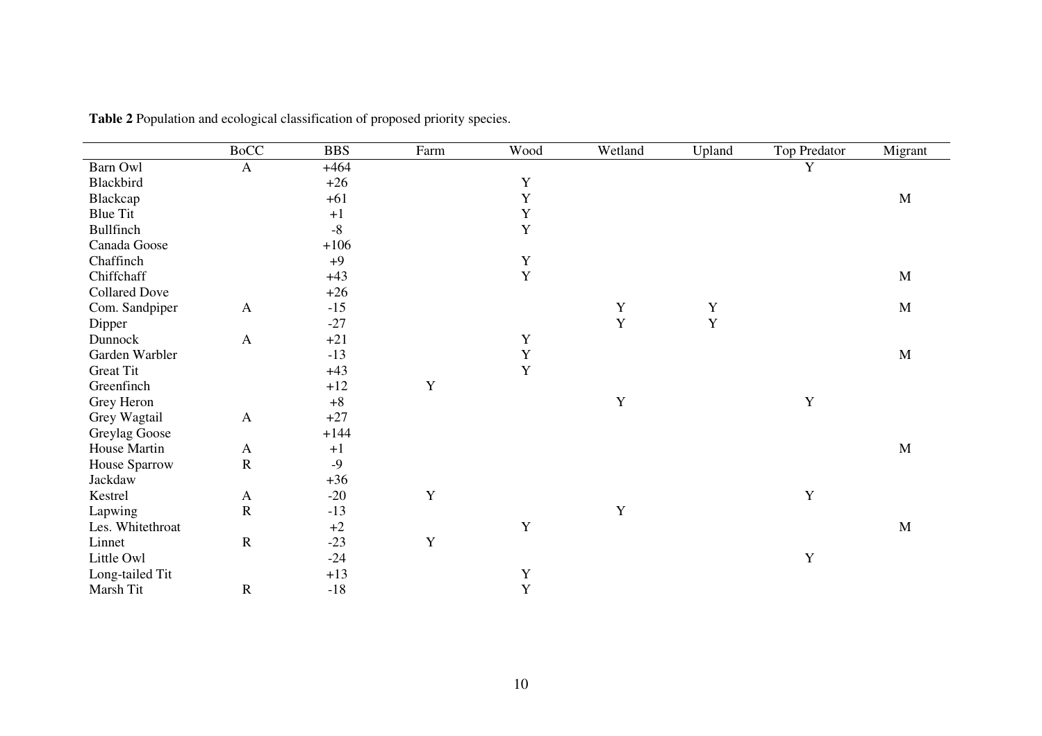|                      | <b>BoCC</b>  | <b>BBS</b> | Farm        | Wood         | Wetland     | Upland      | <b>Top Predator</b> | Migrant     |
|----------------------|--------------|------------|-------------|--------------|-------------|-------------|---------------------|-------------|
| Barn Owl             | $\mathbf{A}$ | $+464$     |             |              |             |             | Y                   |             |
| Blackbird            |              | $+26$      |             | $\mathbf Y$  |             |             |                     |             |
| Blackcap             |              | $+61$      |             | Y            |             |             |                     | $\mathbf M$ |
| <b>Blue Tit</b>      |              | $+1$       |             | $\mathbf Y$  |             |             |                     |             |
| Bullfinch            |              | $-8$       |             | $\mathbf{Y}$ |             |             |                     |             |
| Canada Goose         |              | $+106$     |             |              |             |             |                     |             |
| Chaffinch            |              | $+9$       |             | $\mathbf Y$  |             |             |                     |             |
| Chiffchaff           |              | $+43$      |             | $\mathbf Y$  |             |             |                     | $\mathbf M$ |
| <b>Collared Dove</b> |              | $+26$      |             |              |             |             |                     |             |
| Com. Sandpiper       | $\mathbf{A}$ | $-15$      |             |              | $\mathbf Y$ | $\mathbf Y$ |                     | $\mathbf M$ |
| Dipper               |              | $-27$      |             |              | Y           | Y           |                     |             |
| Dunnock              | $\mathbf{A}$ | $+21$      |             | $\mathbf Y$  |             |             |                     |             |
| Garden Warbler       |              | $-13$      |             | $\mathbf Y$  |             |             |                     | $\mathbf M$ |
| <b>Great Tit</b>     |              | $+43$      |             | Y            |             |             |                     |             |
| Greenfinch           |              | $+12$      | $\mathbf Y$ |              |             |             |                     |             |
| Grey Heron           |              | $+8$       |             |              | $\mathbf Y$ |             | Y                   |             |
| Grey Wagtail         | $\mathbf{A}$ | $+27$      |             |              |             |             |                     |             |
| Greylag Goose        |              | $+144$     |             |              |             |             |                     |             |
| House Martin         | $\mathbf{A}$ | $+1$       |             |              |             |             |                     | $\mathbf M$ |
| House Sparrow        | ${\bf R}$    | $-9$       |             |              |             |             |                     |             |
| Jackdaw              |              | $+36$      |             |              |             |             |                     |             |
| Kestrel              | $\mathbf{A}$ | $-20$      | Y           |              |             |             | Y                   |             |
| Lapwing              | ${\bf R}$    | $-13$      |             |              | $\mathbf Y$ |             |                     |             |
| Les. Whitethroat     |              | $+2$       |             | $\mathbf Y$  |             |             |                     | $\mathbf M$ |
| Linnet               | ${\bf R}$    | $-23$      | $\mathbf Y$ |              |             |             |                     |             |
| Little Owl           |              | $-24$      |             |              |             |             | $\mathbf Y$         |             |
| Long-tailed Tit      |              | $+13$      |             | Y            |             |             |                     |             |
| Marsh Tit            | $\mathbf R$  | $-18$      |             | Y            |             |             |                     |             |

**Table 2** Population and ecological classification of proposed priority species.